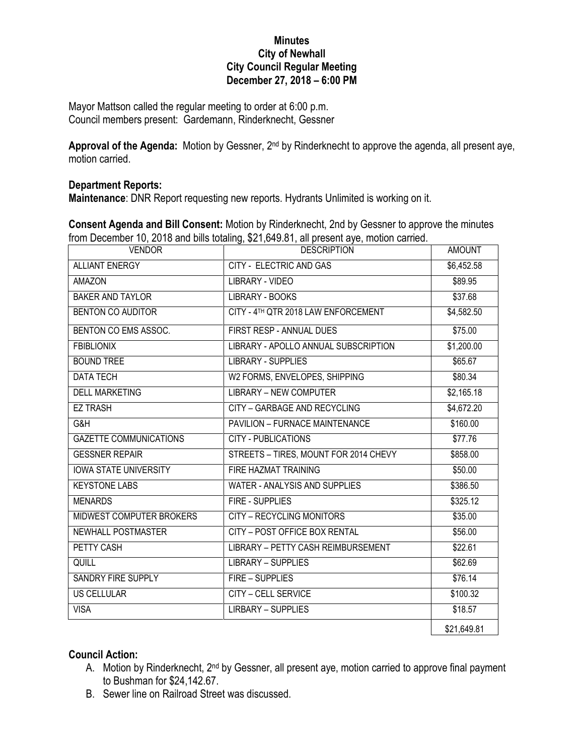## **Minutes City of Newhall City Council Regular Meeting December 27, 2018 – 6:00 PM**

Mayor Mattson called the regular meeting to order at 6:00 p.m. Council members present: Gardemann, Rinderknecht, Gessner

**Approval of the Agenda:** Motion by Gessner, 2nd by Rinderknecht to approve the agenda, all present aye, motion carried.

## **Department Reports:**

**Maintenance**: DNR Report requesting new reports. Hydrants Unlimited is working on it.

**Consent Agenda and Bill Consent:** Motion by Rinderknecht, 2nd by Gessner to approve the minutes from December 10, 2018 and bills totaling, \$21,649.81, all present aye, motion carried.

| <b>VENDOR</b>                 | <b>DESCRIPTION</b>                    | <b>AMOUNT</b> |
|-------------------------------|---------------------------------------|---------------|
| <b>ALLIANT ENERGY</b>         | CITY - ELECTRIC AND GAS               | \$6,452.58    |
| <b>AMAZON</b>                 | <b>LIBRARY - VIDEO</b>                | \$89.95       |
| <b>BAKER AND TAYLOR</b>       | <b>LIBRARY - BOOKS</b>                | \$37.68       |
| <b>BENTON CO AUDITOR</b>      | CITY - 4TH QTR 2018 LAW ENFORCEMENT   | \$4,582.50    |
| BENTON CO EMS ASSOC.          | FIRST RESP - ANNUAL DUES              | \$75.00       |
| <b>FBIBLIONIX</b>             | LIBRARY - APOLLO ANNUAL SUBSCRIPTION  | \$1,200.00    |
| <b>BOUND TREE</b>             | <b>LIBRARY - SUPPLIES</b>             | \$65.67       |
| <b>DATA TECH</b>              | W2 FORMS, ENVELOPES, SHIPPING         | \$80.34       |
| <b>DELL MARKETING</b>         | <b>LIBRARY - NEW COMPUTER</b>         | \$2,165.18    |
| <b>EZ TRASH</b>               | CITY - GARBAGE AND RECYCLING          | \$4,672.20    |
| G&H                           | PAVILION - FURNACE MAINTENANCE        | \$160.00      |
| <b>GAZETTE COMMUNICATIONS</b> | <b>CITY - PUBLICATIONS</b>            | \$77.76       |
| <b>GESSNER REPAIR</b>         | STREETS - TIRES, MOUNT FOR 2014 CHEVY | \$858.00      |
| <b>IOWA STATE UNIVERSITY</b>  | <b>FIRE HAZMAT TRAINING</b>           | \$50.00       |
| <b>KEYSTONE LABS</b>          | WATER - ANALYSIS AND SUPPLIES         | \$386.50      |
| <b>MENARDS</b>                | FIRE - SUPPLIES                       | \$325.12      |
| MIDWEST COMPUTER BROKERS      | CITY - RECYCLING MONITORS             | \$35.00       |
| <b>NEWHALL POSTMASTER</b>     | CITY - POST OFFICE BOX RENTAL         | \$56.00       |
| PETTY CASH                    | LIBRARY - PETTY CASH REIMBURSEMENT    | \$22.61       |
| QUILL                         | <b>LIBRARY - SUPPLIES</b>             | \$62.69       |
| <b>SANDRY FIRE SUPPLY</b>     | FIRE - SUPPLIES                       | \$76.14       |
| <b>US CELLULAR</b>            | CITY - CELL SERVICE                   | \$100.32      |
| <b>VISA</b>                   | <b>LIRBARY - SUPPLIES</b>             | \$18.57       |
|                               |                                       | \$21,649.81   |

## **Council Action:**

- A. Motion by Rinderknecht, 2<sup>nd</sup> by Gessner, all present aye, motion carried to approve final payment to Bushman for \$24,142.67.
- B. Sewer line on Railroad Street was discussed.